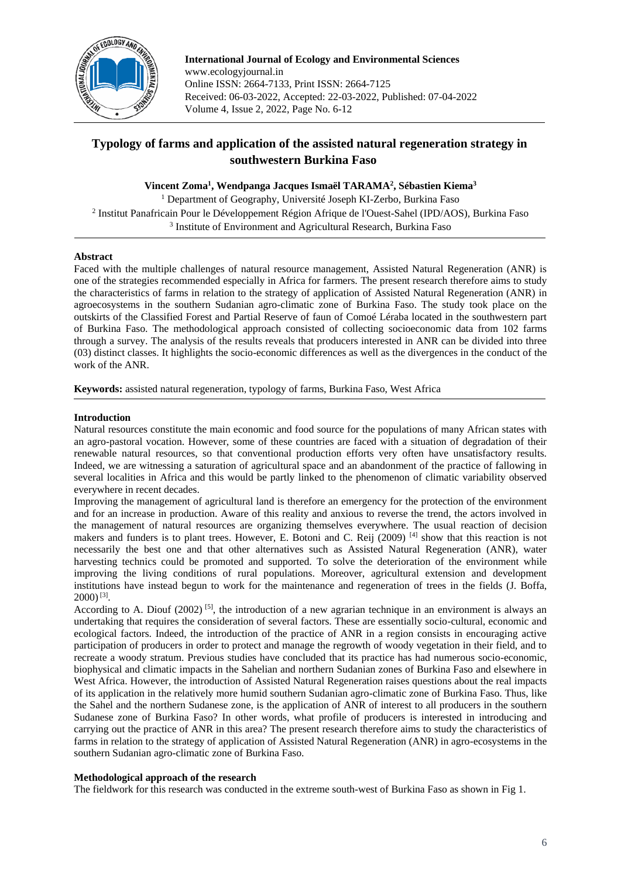

**International Journal of Ecology and Environmental Sciences** www.ecologyjournal.in Online ISSN: 2664-7133, Print ISSN: 2664-7125 Received: 06-03-2022, Accepted: 22-03-2022, Published: 07-04-2022 Volume 4, Issue 2, 2022, Page No. 6-12

# **Typology of farms and application of the assisted natural regeneration strategy in southwestern Burkina Faso**

**Vincent Zoma<sup>1</sup> , Wendpanga Jacques Ismaël TARAMA<sup>2</sup> , Sébastien Kiema<sup>3</sup>**

<sup>1</sup> Department of Geography, Université Joseph KI-Zerbo, Burkina Faso 2 Institut Panafricain Pour le Développement Région Afrique de l'Ouest-Sahel (IPD/AOS)*,* Burkina Faso <sup>3</sup> Institute of Environment and Agricultural Research, Burkina Faso

# **Abstract**

Faced with the multiple challenges of natural resource management, Assisted Natural Regeneration (ANR) is one of the strategies recommended especially in Africa for farmers. The present research therefore aims to study the characteristics of farms in relation to the strategy of application of Assisted Natural Regeneration (ANR) in agroecosystems in the southern Sudanian agro-climatic zone of Burkina Faso. The study took place on the outskirts of the Classified Forest and Partial Reserve of faun of Comoé Léraba located in the southwestern part of Burkina Faso. The methodological approach consisted of collecting socioeconomic data from 102 farms through a survey. The analysis of the results reveals that producers interested in ANR can be divided into three (03) distinct classes. It highlights the socio-economic differences as well as the divergences in the conduct of the work of the ANR.

**Keywords:** assisted natural regeneration, typology of farms, Burkina Faso, West Africa

# **Introduction**

Natural resources constitute the main economic and food source for the populations of many African states with an agro-pastoral vocation. However, some of these countries are faced with a situation of degradation of their renewable natural resources, so that conventional production efforts very often have unsatisfactory results. Indeed, we are witnessing a saturation of agricultural space and an abandonment of the practice of fallowing in several localities in Africa and this would be partly linked to the phenomenon of climatic variability observed everywhere in recent decades.

Improving the management of agricultural land is therefore an emergency for the protection of the environment and for an increase in production. Aware of this reality and anxious to reverse the trend, the actors involved in the management of natural resources are organizing themselves everywhere. The usual reaction of decision makers and funders is to plant trees. However, E. Botoni and C. Reij (2009) <sup>[4]</sup> show that this reaction is not necessarily the best one and that other alternatives such as Assisted Natural Regeneration (ANR), water harvesting technics could be promoted and supported. To solve the deterioration of the environment while improving the living conditions of rural populations. Moreover, agricultural extension and development institutions have instead begun to work for the maintenance and regeneration of trees in the fields (J. Boffa,  $2000$ <sup>[3]</sup>.

According to A. Diouf  $(2002)$  <sup>[5]</sup>, the introduction of a new agrarian technique in an environment is always an undertaking that requires the consideration of several factors. These are essentially socio-cultural, economic and ecological factors. Indeed, the introduction of the practice of ANR in a region consists in encouraging active participation of producers in order to protect and manage the regrowth of woody vegetation in their field, and to recreate a woody stratum. Previous studies have concluded that its practice has had numerous socio-economic, biophysical and climatic impacts in the Sahelian and northern Sudanian zones of Burkina Faso and elsewhere in West Africa. However, the introduction of Assisted Natural Regeneration raises questions about the real impacts of its application in the relatively more humid southern Sudanian agro-climatic zone of Burkina Faso. Thus, like the Sahel and the northern Sudanese zone, is the application of ANR of interest to all producers in the southern Sudanese zone of Burkina Faso? In other words, what profile of producers is interested in introducing and carrying out the practice of ANR in this area? The present research therefore aims to study the characteristics of farms in relation to the strategy of application of Assisted Natural Regeneration (ANR) in agro-ecosystems in the southern Sudanian agro-climatic zone of Burkina Faso.

# **Methodological approach of the research**

The fieldwork for this research was conducted in the extreme south-west of Burkina Faso as shown in Fig 1.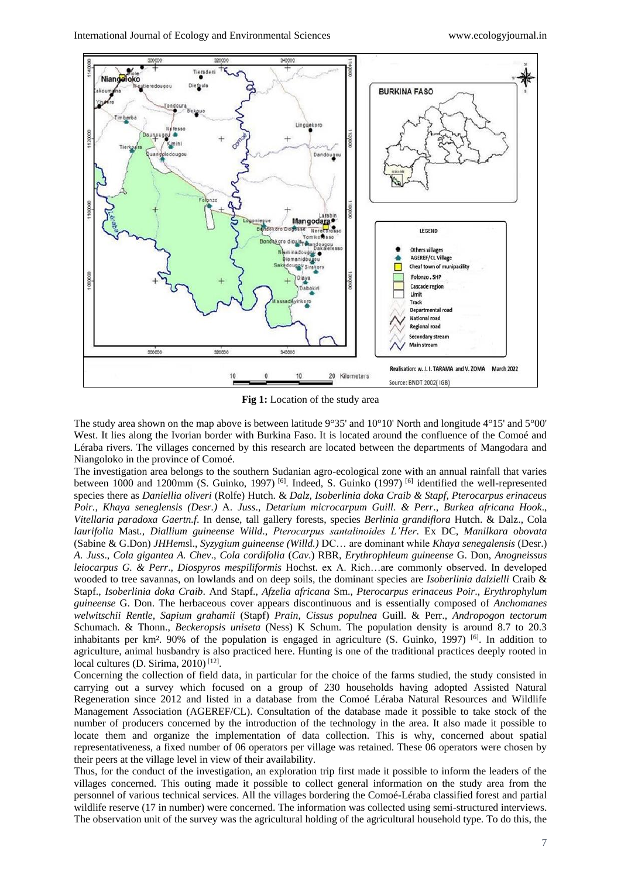

**Fig 1:** Location of the study area

The study area shown on the map above is between latitude  $9^{\circ}35'$  and  $10^{\circ}10'$  North and longitude  $4^{\circ}15'$  and  $5^{\circ}00'$ West. It lies along the Ivorian border with Burkina Faso. It is located around the confluence of the Comoé and Léraba rivers. The villages concerned by this research are located between the departments of Mangodara and Niangoloko in the province of Comoé.

The investigation area belongs to the southern Sudanian agro-ecological zone with an annual rainfall that varies between 1000 and 1200mm (S. Guinko, 1997)<sup>[6]</sup>. Indeed, S. Guinko (1997)<sup>[6]</sup> identified the well-represented species there as *Daniellia oliveri* (Rolfe) Hutch. & *Dalz, Isoberlinia doka Craib & Stapf, Pterocarpus erinaceus Poir., Khaya seneglensis (Desr.)* A. *Juss*., *Detarium microcarpum Guill*. *& Perr*., *Burkea africana Hook*., *Vitellaria paradoxa Gaertn.f*. In dense, tall gallery forests, species *Berlinia grandiflora* Hutch. & Dalz., Cola *laurifolia* Mast*., Diallium guineense Willd*., *Pterocarpus santalinoides L'Her*. Ex DC, *Manilkara obovata* (Sabine & G.Don) *JHHems*l., *Syzygium guineense (Willd.)* DC… are dominant while *Khaya senegalensis* (Desr.) *A. Juss*., *Cola gigantea A. Chev*., *Cola cordifolia* (*Cav*.) RBR, *Erythrophleum guineense* G. Don, *Anogneissus leiocarpus G. & Perr*., *Diospyros mespiliformis* Hochst. ex A. Rich…are commonly observed. In developed wooded to tree savannas, on lowlands and on deep soils, the dominant species are *Isoberlinia dalzielli* Craib & Stapf., *Isoberlinia doka Craib*. And Stapf., *Afzelia africana* Sm., *Pterocarpus erinaceus Poir*., *Erythrophylum guineense* G. Don. The herbaceous cover appears discontinuous and is essentially composed of *Anchomanes welwitschii Rentle*, *Sapium grahamii* (Stapf) *Prain*, *Cissus populnea* Guill. & Perr., *Andropogon tectorum* Schumach. & Thonn., *Beckeropsis uniseta* (Ness) K Schum. The population density is around 8.7 to 20.3 inhabitants per km². 90% of the population is engaged in agriculture (S. Guinko, 1997)  $\left[6\right]$ . In addition to agriculture, animal husbandry is also practiced here. Hunting is one of the traditional practices deeply rooted in local cultures (D. Sirima,  $2010$ <sup>[12]</sup>.

Concerning the collection of field data, in particular for the choice of the farms studied, the study consisted in carrying out a survey which focused on a group of 230 households having adopted Assisted Natural Regeneration since 2012 and listed in a database from the Comoé Léraba Natural Resources and Wildlife Management Association (AGEREF/CL). Consultation of the database made it possible to take stock of the number of producers concerned by the introduction of the technology in the area. It also made it possible to locate them and organize the implementation of data collection. This is why, concerned about spatial representativeness, a fixed number of 06 operators per village was retained. These 06 operators were chosen by their peers at the village level in view of their availability.

Thus, for the conduct of the investigation, an exploration trip first made it possible to inform the leaders of the villages concerned. This outing made it possible to collect general information on the study area from the personnel of various technical services. All the villages bordering the Comoé-Léraba classified forest and partial wildlife reserve (17 in number) were concerned. The information was collected using semi-structured interviews. The observation unit of the survey was the agricultural holding of the agricultural household type. To do this, the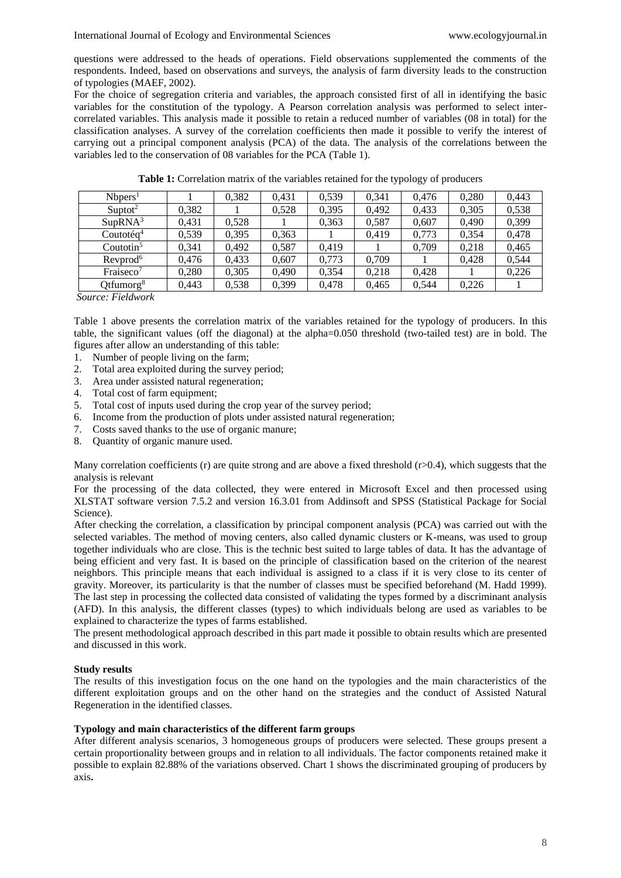questions were addressed to the heads of operations. Field observations supplemented the comments of the respondents. Indeed, based on observations and surveys, the analysis of farm diversity leads to the construction of typologies (MAEF, 2002).

For the choice of segregation criteria and variables, the approach consisted first of all in identifying the basic variables for the constitution of the typology. A Pearson correlation analysis was performed to select intercorrelated variables. This analysis made it possible to retain a reduced number of variables (08 in total) for the classification analyses. A survey of the correlation coefficients then made it possible to verify the interest of carrying out a principal component analysis (PCA) of the data. The analysis of the correlations between the variables led to the conservation of 08 variables for the PCA (Table 1).

| Nbpers <sup>1</sup>      |       | 0,382 | 0.431 | 0.539 | 0.341 | 0.476 | 0,280 | 0.443 |
|--------------------------|-------|-------|-------|-------|-------|-------|-------|-------|
| $\text{Subtot}^2$        | 0,382 |       | 0,528 | 0,395 | 0.492 | 0,433 | 0,305 | 0,538 |
| SupRNA <sup>3</sup>      | 0.431 | 0.528 |       | 0,363 | 0.587 | 0,607 | 0,490 | 0,399 |
| $\text{Coutot}\'{e}a^4$  | 0,539 | 0,395 | 0.363 |       | 0.419 | 0.773 | 0,354 | 0,478 |
| Coutotin $5$             | 0.341 | 0.492 | 0,587 | 0.419 |       | 0.709 | 0,218 | 0,465 |
| Revprod <sup>6</sup>     | 0,476 | 0,433 | 0,607 | 0.773 | 0.709 |       | 0.428 | 0,544 |
| Fraiseco <sup>7</sup>    | 0,280 | 0,305 | 0,490 | 0.354 | 0.218 | 0.428 |       | 0,226 |
| $Qt$ fumorg <sup>8</sup> | 0.443 | 0,538 | 0,399 | 0.478 | 0,465 | 0.544 | 0.226 |       |

**Table 1:** Correlation matrix of the variables retained for the typology of producers

*Source: Fieldwork*

Table 1 above presents the correlation matrix of the variables retained for the typology of producers. In this table, the significant values (off the diagonal) at the alpha=0.050 threshold (two-tailed test) are in bold. The figures after allow an understanding of this table:

- 1. Number of people living on the farm;
- 2. Total area exploited during the survey period;
- 3. Area under assisted natural regeneration;
- 4. Total cost of farm equipment;
- 5. Total cost of inputs used during the crop year of the survey period;
- 6. Income from the production of plots under assisted natural regeneration;
- 7. Costs saved thanks to the use of organic manure;
- 8. Quantity of organic manure used.

Many correlation coefficients (r) are quite strong and are above a fixed threshold ( $r > 0.4$ ), which suggests that the analysis is relevant

For the processing of the data collected, they were entered in Microsoft Excel and then processed using XLSTAT software version 7.5.2 and version 16.3.01 from Addinsoft and SPSS (Statistical Package for Social Science).

After checking the correlation, a classification by principal component analysis (PCA) was carried out with the selected variables. The method of moving centers, also called dynamic clusters or K-means, was used to group together individuals who are close. This is the technic best suited to large tables of data. It has the advantage of being efficient and very fast. It is based on the principle of classification based on the criterion of the nearest neighbors. This principle means that each individual is assigned to a class if it is very close to its center of gravity. Moreover, its particularity is that the number of classes must be specified beforehand (M. Hadd 1999). The last step in processing the collected data consisted of validating the types formed by a discriminant analysis (AFD). In this analysis, the different classes (types) to which individuals belong are used as variables to be explained to characterize the types of farms established.

The present methodological approach described in this part made it possible to obtain results which are presented and discussed in this work.

## **Study results**

The results of this investigation focus on the one hand on the typologies and the main characteristics of the different exploitation groups and on the other hand on the strategies and the conduct of Assisted Natural Regeneration in the identified classes.

## **Typology and main characteristics of the different farm groups**

After different analysis scenarios, 3 homogeneous groups of producers were selected. These groups present a certain proportionality between groups and in relation to all individuals. The factor components retained make it possible to explain 82.88% of the variations observed. Chart 1 shows the discriminated grouping of producers by axis**.**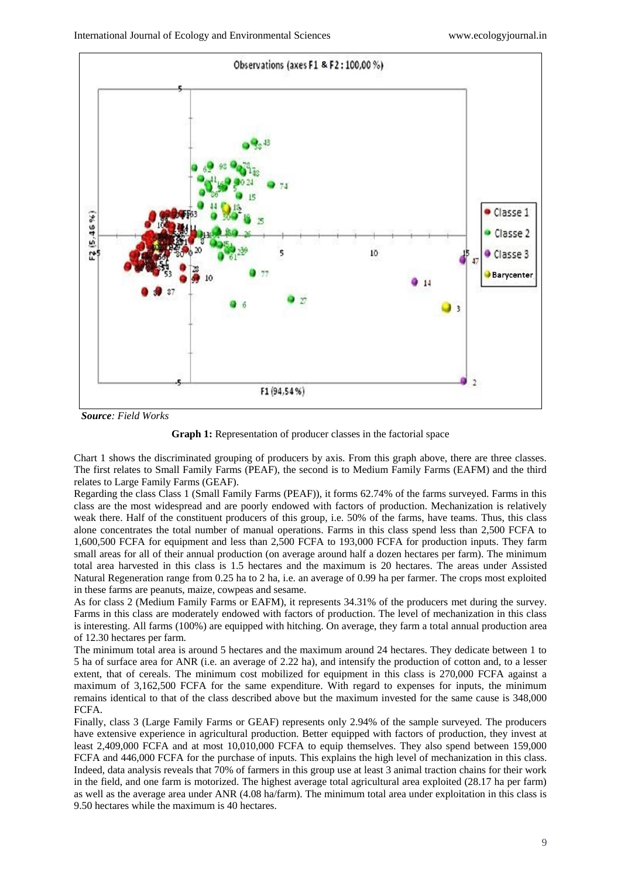

*Source: Field Works*



Chart 1 shows the discriminated grouping of producers by axis. From this graph above, there are three classes. The first relates to Small Family Farms (PEAF), the second is to Medium Family Farms (EAFM) and the third relates to Large Family Farms (GEAF).

Regarding the class Class 1 (Small Family Farms (PEAF)), it forms 62.74% of the farms surveyed. Farms in this class are the most widespread and are poorly endowed with factors of production. Mechanization is relatively weak there. Half of the constituent producers of this group, i.e. 50% of the farms, have teams. Thus, this class alone concentrates the total number of manual operations. Farms in this class spend less than 2,500 FCFA to 1,600,500 FCFA for equipment and less than 2,500 FCFA to 193,000 FCFA for production inputs. They farm small areas for all of their annual production (on average around half a dozen hectares per farm). The minimum total area harvested in this class is 1.5 hectares and the maximum is 20 hectares. The areas under Assisted Natural Regeneration range from 0.25 ha to 2 ha, i.e. an average of 0.99 ha per farmer. The crops most exploited in these farms are peanuts, maize, cowpeas and sesame.

As for class 2 (Medium Family Farms or EAFM), it represents 34.31% of the producers met during the survey. Farms in this class are moderately endowed with factors of production. The level of mechanization in this class is interesting. All farms (100%) are equipped with hitching. On average, they farm a total annual production area of 12.30 hectares per farm.

The minimum total area is around 5 hectares and the maximum around 24 hectares. They dedicate between 1 to 5 ha of surface area for ANR (i.e. an average of 2.22 ha), and intensify the production of cotton and, to a lesser extent, that of cereals. The minimum cost mobilized for equipment in this class is 270,000 FCFA against a maximum of 3,162,500 FCFA for the same expenditure. With regard to expenses for inputs, the minimum remains identical to that of the class described above but the maximum invested for the same cause is 348,000 FCFA.

Finally, class 3 (Large Family Farms or GEAF) represents only 2.94% of the sample surveyed. The producers have extensive experience in agricultural production. Better equipped with factors of production, they invest at least 2,409,000 FCFA and at most 10,010,000 FCFA to equip themselves. They also spend between 159,000 FCFA and 446,000 FCFA for the purchase of inputs. This explains the high level of mechanization in this class. Indeed, data analysis reveals that 70% of farmers in this group use at least 3 animal traction chains for their work in the field, and one farm is motorized. The highest average total agricultural area exploited (28.17 ha per farm) as well as the average area under ANR (4.08 ha/farm). The minimum total area under exploitation in this class is 9.50 hectares while the maximum is 40 hectares.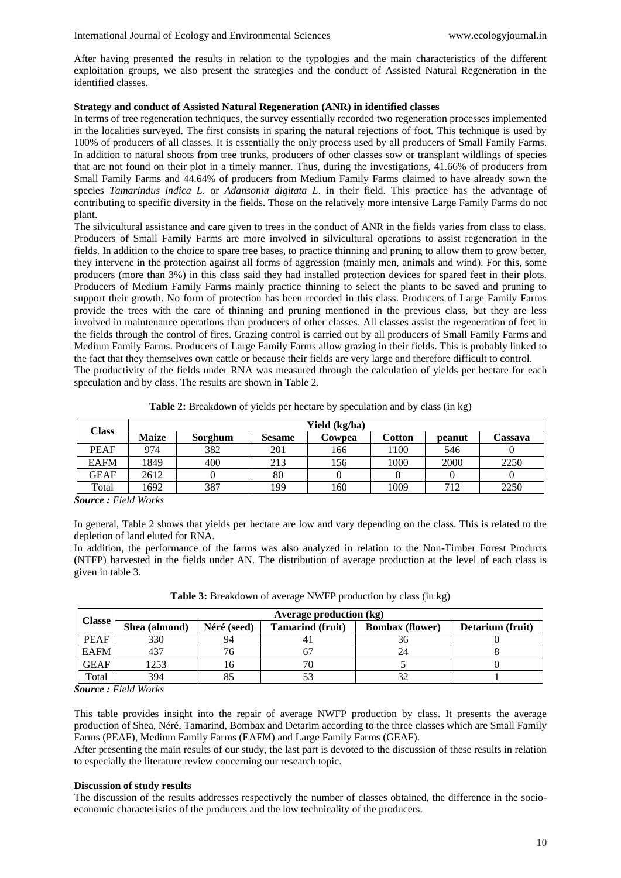After having presented the results in relation to the typologies and the main characteristics of the different exploitation groups, we also present the strategies and the conduct of Assisted Natural Regeneration in the identified classes.

# **Strategy and conduct of Assisted Natural Regeneration (ANR) in identified classes**

In terms of tree regeneration techniques, the survey essentially recorded two regeneration processes implemented in the localities surveyed. The first consists in sparing the natural rejections of foot. This technique is used by 100% of producers of all classes. It is essentially the only process used by all producers of Small Family Farms. In addition to natural shoots from tree trunks, producers of other classes sow or transplant wildlings of species that are not found on their plot in a timely manner. Thus, during the investigations, 41.66% of producers from Small Family Farms and 44.64% of producers from Medium Family Farms claimed to have already sown the species *Tamarindus indica L*. or *Adansonia digitata L*. in their field. This practice has the advantage of contributing to specific diversity in the fields. Those on the relatively more intensive Large Family Farms do not plant.

The silvicultural assistance and care given to trees in the conduct of ANR in the fields varies from class to class. Producers of Small Family Farms are more involved in silvicultural operations to assist regeneration in the fields. In addition to the choice to spare tree bases, to practice thinning and pruning to allow them to grow better, they intervene in the protection against all forms of aggression (mainly men, animals and wind). For this, some producers (more than 3%) in this class said they had installed protection devices for spared feet in their plots. Producers of Medium Family Farms mainly practice thinning to select the plants to be saved and pruning to support their growth. No form of protection has been recorded in this class. Producers of Large Family Farms provide the trees with the care of thinning and pruning mentioned in the previous class, but they are less involved in maintenance operations than producers of other classes. All classes assist the regeneration of feet in the fields through the control of fires. Grazing control is carried out by all producers of Small Family Farms and Medium Family Farms. Producers of Large Family Farms allow grazing in their fields. This is probably linked to the fact that they themselves own cattle or because their fields are very large and therefore difficult to control. The productivity of the fields under RNA was measured through the calculation of yields per hectare for each speculation and by class. The results are shown in Table 2.

| <b>Class</b> | Yield (kg/ha) |          |               |        |        |        |         |      |  |
|--------------|---------------|----------|---------------|--------|--------|--------|---------|------|--|
|              | <b>Maize</b>  | Sorghum  | <b>Sesame</b> | Cowpea | Cotton | peanut | Cassava |      |  |
|              | <b>PEAF</b>   | 974      | 382           | 201    | 166    | 1100   | 546     |      |  |
|              | <b>EAFM</b>   | 1849     | 400           | 213    | 156    | 1000   | 2000    | 2250 |  |
|              | <b>GEAF</b>   | 2612     |               | 80     |        |        |         |      |  |
|              | Total         | 1692     | 387           | 199    | 160    | 1009   | 712     | 2250 |  |
| $\sim$       |               | ________ |               |        |        |        |         |      |  |

**Table 2:** Breakdown of yields per hectare by speculation and by class (in kg)

*Source : Field Works*

In general, Table 2 shows that yields per hectare are low and vary depending on the class. This is related to the depletion of land eluted for RNA.

In addition, the performance of the farms was also analyzed in relation to the Non-Timber Forest Products (NTFP) harvested in the fields under AN. The distribution of average production at the level of each class is given in table 3.

| <b>Classe</b> | <b>Average production (kg)</b> |             |                         |                        |                  |  |  |
|---------------|--------------------------------|-------------|-------------------------|------------------------|------------------|--|--|
|               | Shea (almond)                  | Néré (seed) | <b>Tamarind (fruit)</b> | <b>Bombax</b> (flower) | Detarium (fruit) |  |  |
| <b>PEAF</b>   | 330                            | 94          |                         | 36                     |                  |  |  |
| <b>EAFM</b>   | 437                            | 76          |                         | 24                     |                  |  |  |
| <b>GEAF</b>   | 1253                           | 10          |                         |                        |                  |  |  |
| Total         | 394                            |             |                         |                        |                  |  |  |

**Table 3:** Breakdown of average NWFP production by class (in kg)

*Source : Field Works*

This table provides insight into the repair of average NWFP production by class. It presents the average production of Shea, Néré, Tamarind, Bombax and Detarim according to the three classes which are Small Family Farms (PEAF), Medium Family Farms (EAFM) and Large Family Farms (GEAF).

After presenting the main results of our study, the last part is devoted to the discussion of these results in relation to especially the literature review concerning our research topic.

## **Discussion of study results**

The discussion of the results addresses respectively the number of classes obtained, the difference in the socioeconomic characteristics of the producers and the low technicality of the producers.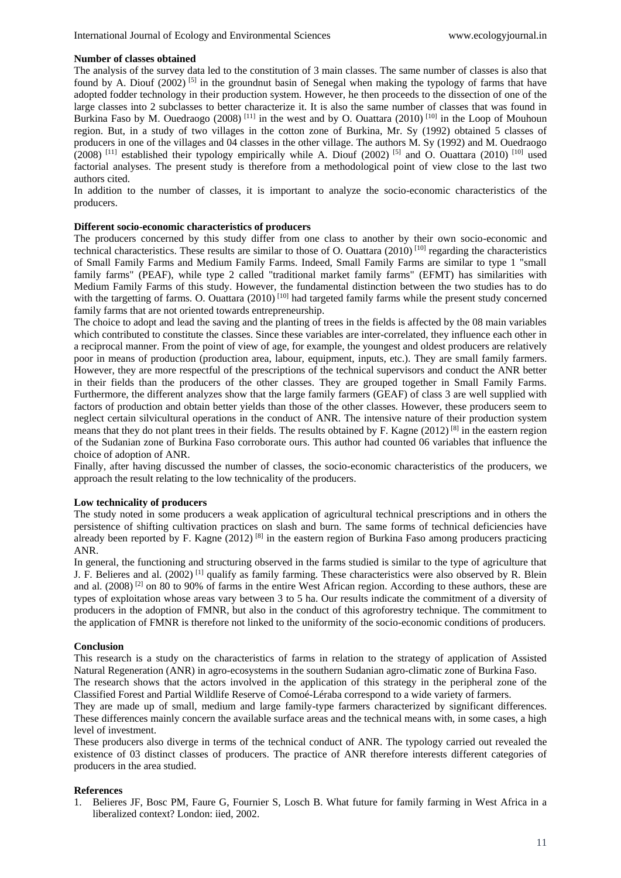## **Number of classes obtained**

The analysis of the survey data led to the constitution of 3 main classes. The same number of classes is also that found by A. Diouf  $(2002)^{\binom{5}{1}}$  in the groundnut basin of Senegal when making the typology of farms that have adopted fodder technology in their production system. However, he then proceeds to the dissection of one of the large classes into 2 subclasses to better characterize it. It is also the same number of classes that was found in Burkina Faso by M. Ouedraogo  $(2008)^{[11]}$  in the west and by O. Ouattara  $(2010)^{[10]}$  in the Loop of Mouhoun region. But, in a study of two villages in the cotton zone of Burkina, Mr. Sy (1992) obtained 5 classes of producers in one of the villages and 04 classes in the other village. The authors M. Sy (1992) and M. Ouedraogo  $(2008)$ <sup>[11]</sup> established their typology empirically while A. Diouf  $(2002)$ <sup>[5]</sup> and O. Ouattara  $(2010)$ <sup>[10]</sup> used factorial analyses. The present study is therefore from a methodological point of view close to the last two authors cited.

In addition to the number of classes, it is important to analyze the socio-economic characteristics of the producers.

## **Different socio-economic characteristics of producers**

The producers concerned by this study differ from one class to another by their own socio-economic and technical characteristics. These results are similar to those of O. Ouattara (2010)<sup>[10]</sup> regarding the characteristics of Small Family Farms and Medium Family Farms. Indeed, Small Family Farms are similar to type 1 "small family farms" (PEAF), while type 2 called "traditional market family farms" (EFMT) has similarities with Medium Family Farms of this study. However, the fundamental distinction between the two studies has to do with the targetting of farms. O. Ouattara  $(2010)^{100}$  had targeted family farms while the present study concerned family farms that are not oriented towards entrepreneurship.

The choice to adopt and lead the saving and the planting of trees in the fields is affected by the 08 main variables which contributed to constitute the classes. Since these variables are inter-correlated, they influence each other in a reciprocal manner. From the point of view of age, for example, the youngest and oldest producers are relatively poor in means of production (production area, labour, equipment, inputs, etc.). They are small family farmers. However, they are more respectful of the prescriptions of the technical supervisors and conduct the ANR better in their fields than the producers of the other classes. They are grouped together in Small Family Farms. Furthermore, the different analyzes show that the large family farmers (GEAF) of class 3 are well supplied with factors of production and obtain better yields than those of the other classes. However, these producers seem to neglect certain silvicultural operations in the conduct of ANR. The intensive nature of their production system means that they do not plant trees in their fields. The results obtained by F. Kagne (2012)<sup>[8]</sup> in the eastern region of the Sudanian zone of Burkina Faso corroborate ours. This author had counted 06 variables that influence the choice of adoption of ANR.

Finally, after having discussed the number of classes, the socio-economic characteristics of the producers, we approach the result relating to the low technicality of the producers.

# **Low technicality of producers**

The study noted in some producers a weak application of agricultural technical prescriptions and in others the persistence of shifting cultivation practices on slash and burn. The same forms of technical deficiencies have already been reported by F. Kagne (2012)<sup>[8]</sup> in the eastern region of Burkina Faso among producers practicing ANR.

In general, the functioning and structuring observed in the farms studied is similar to the type of agriculture that J. F. Belieres and al. (2002) [1] qualify as family farming. These characteristics were also observed by R. Blein and al. (2008)<sup>[2]</sup> on 80 to 90% of farms in the entire West African region. According to these authors, these are types of exploitation whose areas vary between 3 to 5 ha. Our results indicate the commitment of a diversity of producers in the adoption of FMNR, but also in the conduct of this agroforestry technique. The commitment to the application of FMNR is therefore not linked to the uniformity of the socio-economic conditions of producers.

## **Conclusion**

This research is a study on the characteristics of farms in relation to the strategy of application of Assisted Natural Regeneration (ANR) in agro-ecosystems in the southern Sudanian agro-climatic zone of Burkina Faso.

The research shows that the actors involved in the application of this strategy in the peripheral zone of the Classified Forest and Partial Wildlife Reserve of Comoé-Léraba correspond to a wide variety of farmers.

They are made up of small, medium and large family-type farmers characterized by significant differences. These differences mainly concern the available surface areas and the technical means with, in some cases, a high level of investment.

These producers also diverge in terms of the technical conduct of ANR. The typology carried out revealed the existence of 03 distinct classes of producers. The practice of ANR therefore interests different categories of producers in the area studied.

## **References**

1. Belieres JF, Bosc PM, Faure G, Fournier S, Losch B. What future for family farming in West Africa in a liberalized context? London: iied, 2002.